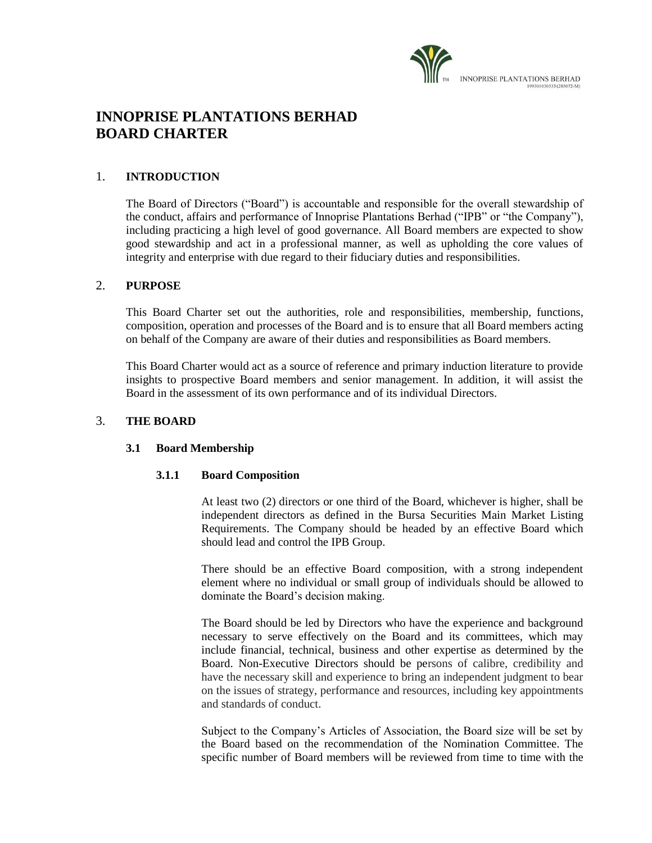

# **INNOPRISE PLANTATIONS BERHAD BOARD CHARTER**

## 1. **INTRODUCTION**

The Board of Directors ("Board") is accountable and responsible for the overall stewardship of the conduct, affairs and performance of Innoprise Plantations Berhad ("IPB" or "the Company"), including practicing a high level of good governance. All Board members are expected to show good stewardship and act in a professional manner, as well as upholding the core values of integrity and enterprise with due regard to their fiduciary duties and responsibilities.

#### 2. **PURPOSE**

This Board Charter set out the authorities, role and responsibilities, membership, functions, composition, operation and processes of the Board and is to ensure that all Board members acting on behalf of the Company are aware of their duties and responsibilities as Board members.

This Board Charter would act as a source of reference and primary induction literature to provide insights to prospective Board members and senior management. In addition, it will assist the Board in the assessment of its own performance and of its individual Directors.

## 3. **THE BOARD**

## **3.1 Board Membership**

#### **3.1.1 Board Composition**

At least two (2) directors or one third of the Board, whichever is higher, shall be independent directors as defined in the Bursa Securities Main Market Listing Requirements. The Company should be headed by an effective Board which should lead and control the IPB Group.

There should be an effective Board composition, with a strong independent element where no individual or small group of individuals should be allowed to dominate the Board's decision making.

The Board should be led by Directors who have the experience and background necessary to serve effectively on the Board and its committees, which may include financial, technical, business and other expertise as determined by the Board. Non-Executive Directors should be persons of calibre, credibility and have the necessary skill and experience to bring an independent judgment to bear on the issues of strategy, performance and resources, including key appointments and standards of conduct.

Subject to the Company's Articles of Association, the Board size will be set by the Board based on the recommendation of the Nomination Committee. The specific number of Board members will be reviewed from time to time with the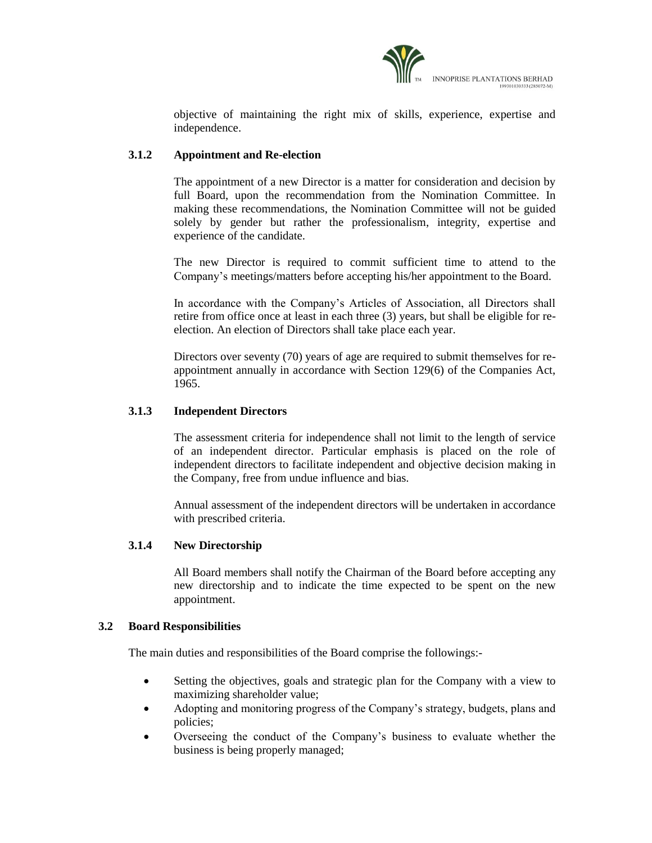

objective of maintaining the right mix of skills, experience, expertise and independence.

## **3.1.2 Appointment and Re-election**

The appointment of a new Director is a matter for consideration and decision by full Board, upon the recommendation from the Nomination Committee. In making these recommendations, the Nomination Committee will not be guided solely by gender but rather the professionalism, integrity, expertise and experience of the candidate.

The new Director is required to commit sufficient time to attend to the Company's meetings/matters before accepting his/her appointment to the Board.

In accordance with the Company's Articles of Association, all Directors shall retire from office once at least in each three (3) years, but shall be eligible for reelection. An election of Directors shall take place each year.

Directors over seventy (70) years of age are required to submit themselves for reappointment annually in accordance with Section 129(6) of the Companies Act, 1965.

## **3.1.3 Independent Directors**

The assessment criteria for independence shall not limit to the length of service of an independent director. Particular emphasis is placed on the role of independent directors to facilitate independent and objective decision making in the Company, free from undue influence and bias.

Annual assessment of the independent directors will be undertaken in accordance with prescribed criteria.

## **3.1.4 New Directorship**

All Board members shall notify the Chairman of the Board before accepting any new directorship and to indicate the time expected to be spent on the new appointment.

#### **3.2 Board Responsibilities**

The main duties and responsibilities of the Board comprise the followings:-

- Setting the objectives, goals and strategic plan for the Company with a view to maximizing shareholder value;
- Adopting and monitoring progress of the Company's strategy, budgets, plans and policies;
- Overseeing the conduct of the Company's business to evaluate whether the business is being properly managed;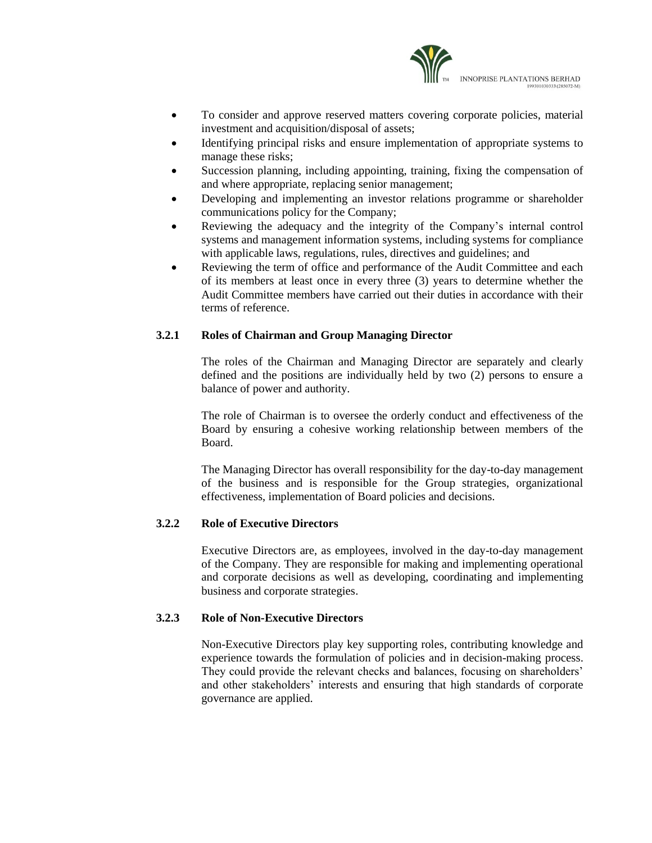

- To consider and approve reserved matters covering corporate policies, material investment and acquisition/disposal of assets;
- Identifying principal risks and ensure implementation of appropriate systems to manage these risks;
- Succession planning, including appointing, training, fixing the compensation of and where appropriate, replacing senior management;
- Developing and implementing an investor relations programme or shareholder communications policy for the Company;
- Reviewing the adequacy and the integrity of the Company's internal control systems and management information systems, including systems for compliance with applicable laws, regulations, rules, directives and guidelines; and
- Reviewing the term of office and performance of the Audit Committee and each of its members at least once in every three (3) years to determine whether the Audit Committee members have carried out their duties in accordance with their terms of reference.

## **3.2.1 Roles of Chairman and Group Managing Director**

The roles of the Chairman and Managing Director are separately and clearly defined and the positions are individually held by two (2) persons to ensure a balance of power and authority.

The role of Chairman is to oversee the orderly conduct and effectiveness of the Board by ensuring a cohesive working relationship between members of the Board.

The Managing Director has overall responsibility for the day-to-day management of the business and is responsible for the Group strategies, organizational effectiveness, implementation of Board policies and decisions.

## **3.2.2 Role of Executive Directors**

Executive Directors are, as employees, involved in the day-to-day management of the Company. They are responsible for making and implementing operational and corporate decisions as well as developing, coordinating and implementing business and corporate strategies.

## **3.2.3 Role of Non-Executive Directors**

Non-Executive Directors play key supporting roles, contributing knowledge and experience towards the formulation of policies and in decision-making process. They could provide the relevant checks and balances, focusing on shareholders' and other stakeholders' interests and ensuring that high standards of corporate governance are applied.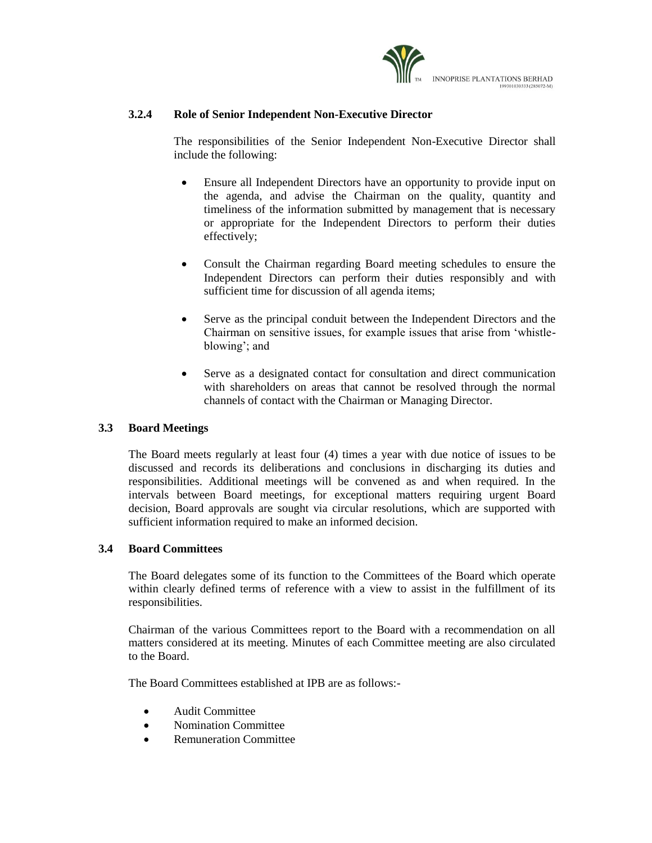

## **3.2.4 Role of Senior Independent Non-Executive Director**

The responsibilities of the Senior Independent Non-Executive Director shall include the following:

- Ensure all Independent Directors have an opportunity to provide input on the agenda, and advise the Chairman on the quality, quantity and timeliness of the information submitted by management that is necessary or appropriate for the Independent Directors to perform their duties effectively;
- Consult the Chairman regarding Board meeting schedules to ensure the Independent Directors can perform their duties responsibly and with sufficient time for discussion of all agenda items;
- Serve as the principal conduit between the Independent Directors and the Chairman on sensitive issues, for example issues that arise from 'whistleblowing'; and
- Serve as a designated contact for consultation and direct communication with shareholders on areas that cannot be resolved through the normal channels of contact with the Chairman or Managing Director.

### **3.3 Board Meetings**

The Board meets regularly at least four (4) times a year with due notice of issues to be discussed and records its deliberations and conclusions in discharging its duties and responsibilities. Additional meetings will be convened as and when required. In the intervals between Board meetings, for exceptional matters requiring urgent Board decision, Board approvals are sought via circular resolutions, which are supported with sufficient information required to make an informed decision.

#### **3.4 Board Committees**

The Board delegates some of its function to the Committees of the Board which operate within clearly defined terms of reference with a view to assist in the fulfillment of its responsibilities.

Chairman of the various Committees report to the Board with a recommendation on all matters considered at its meeting. Minutes of each Committee meeting are also circulated to the Board.

The Board Committees established at IPB are as follows:-

- Audit Committee
- Nomination Committee
- Remuneration Committee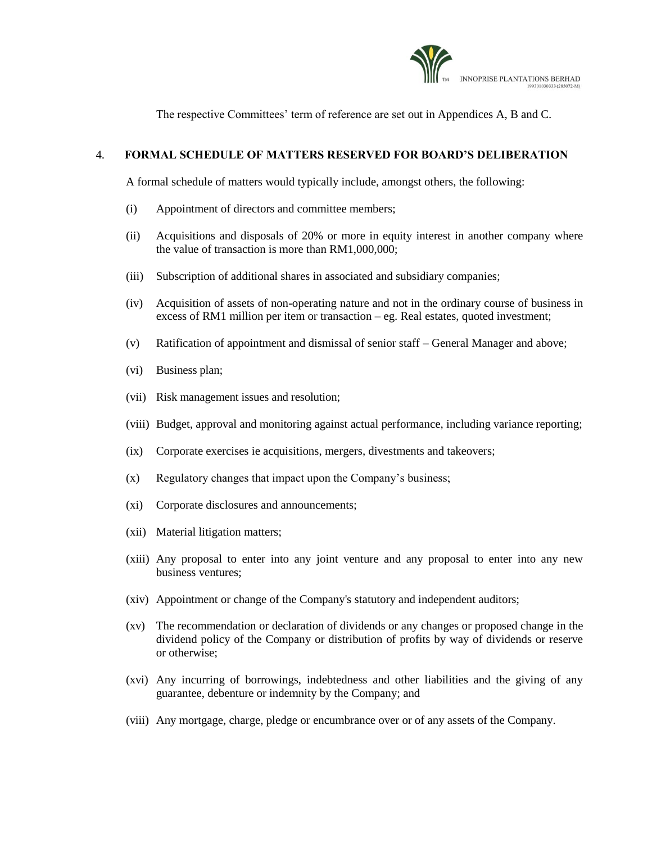

The respective Committees' term of reference are set out in Appendices A, B and C.

## 4. **FORMAL SCHEDULE OF MATTERS RESERVED FOR BOARD'S DELIBERATION**

A formal schedule of matters would typically include, amongst others, the following:

- (i) Appointment of directors and committee members;
- (ii) Acquisitions and disposals of 20% or more in equity interest in another company where the value of transaction is more than RM1,000,000;
- (iii) Subscription of additional shares in associated and subsidiary companies;
- (iv) Acquisition of assets of non-operating nature and not in the ordinary course of business in excess of RM1 million per item or transaction – eg. Real estates, quoted investment;
- (v) Ratification of appointment and dismissal of senior staff General Manager and above;
- (vi) Business plan;
- (vii) Risk management issues and resolution;
- (viii) Budget, approval and monitoring against actual performance, including variance reporting;
- (ix) Corporate exercises ie acquisitions, mergers, divestments and takeovers;
- (x) Regulatory changes that impact upon the Company's business;
- (xi) Corporate disclosures and announcements;
- (xii) Material litigation matters;
- (xiii) Any proposal to enter into any joint venture and any proposal to enter into any new business ventures;
- (xiv) Appointment or change of the Company's statutory and independent auditors;
- (xv) The recommendation or declaration of dividends or any changes or proposed change in the dividend policy of the Company or distribution of profits by way of dividends or reserve or otherwise;
- (xvi) Any incurring of borrowings, indebtedness and other liabilities and the giving of any guarantee, debenture or indemnity by the Company; and
- (viii) Any mortgage, charge, pledge or encumbrance over or of any assets of the Company.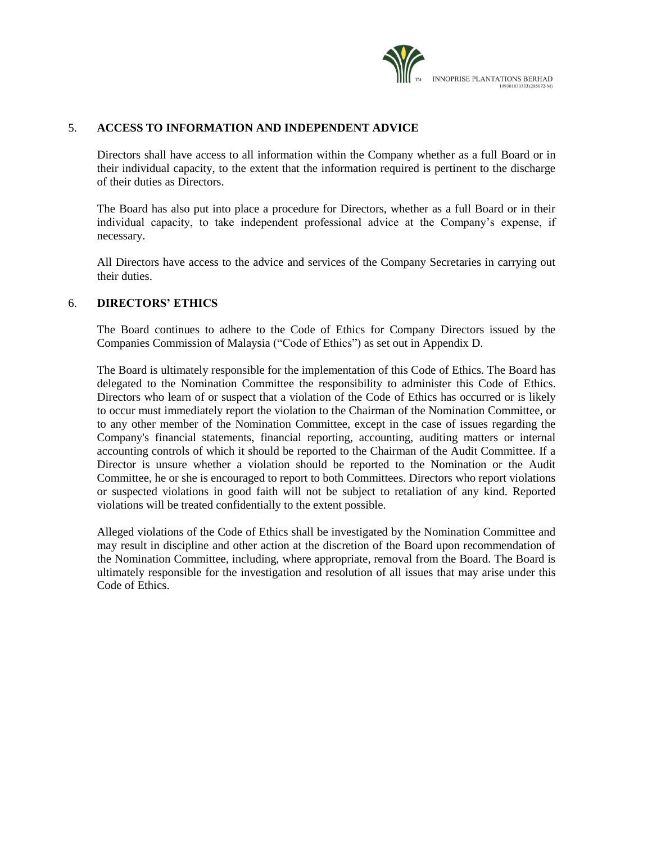

### 5. **ACCESS TO INFORMATION AND INDEPENDENT ADVICE**

Directors shall have access to all information within the Company whether as a full Board or in their individual capacity, to the extent that the information required is pertinent to the discharge of their duties as Directors.

The Board has also put into place a procedure for Directors, whether as a full Board or in their individual capacity, to take independent professional advice at the Company's expense, if necessary.

All Directors have access to the advice and services of the Company Secretaries in carrying out their duties.

#### 6. **DIRECTORS' ETHICS**

The Board continues to adhere to the Code of Ethics for Company Directors issued by the Companies Commission of Malaysia ("Code of Ethics") as set out in Appendix D.

The Board is ultimately responsible for the implementation of this Code of Ethics. The Board has delegated to the Nomination Committee the responsibility to administer this Code of Ethics. Directors who learn of or suspect that a violation of the Code of Ethics has occurred or is likely to occur must immediately report the violation to the Chairman of the Nomination Committee, or to any other member of the Nomination Committee, except in the case of issues regarding the Company's financial statements, financial reporting, accounting, auditing matters or internal accounting controls of which it should be reported to the Chairman of the Audit Committee. If a Director is unsure whether a violation should be reported to the Nomination or the Audit Committee, he or she is encouraged to report to both Committees. Directors who report violations or suspected violations in good faith will not be subject to retaliation of any kind. Reported violations will be treated confidentially to the extent possible.

Alleged violations of the Code of Ethics shall be investigated by the Nomination Committee and may result in discipline and other action at the discretion of the Board upon recommendation of the Nomination Committee, including, where appropriate, removal from the Board. The Board is ultimately responsible for the investigation and resolution of all issues that may arise under this Code of Ethics.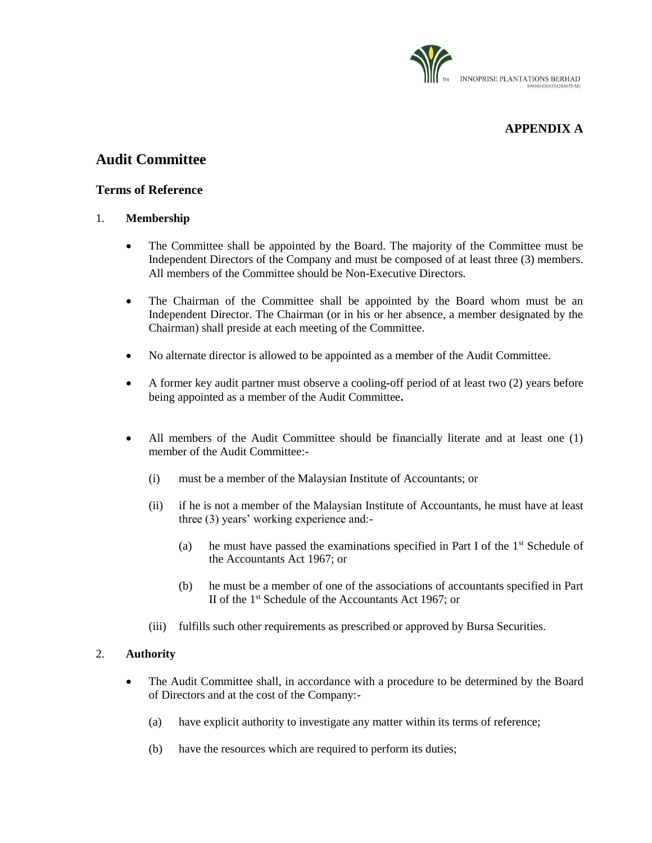

# **APPENDIX A**

# **Audit Committee**

## **Terms of Reference**

## 1. **Membership**

- The Committee shall be appointed by the Board. The majority of the Committee must be Independent Directors of the Company and must be composed of at least three (3) members. All members of the Committee should be Non-Executive Directors.
- The Chairman of the Committee shall be appointed by the Board whom must be an Independent Director. The Chairman (or in his or her absence, a member designated by the Chairman) shall preside at each meeting of the Committee.
- No alternate director is allowed to be appointed as a member of the Audit Committee.
- A former key audit partner must observe a cooling**-**off period of at least two (2) years before being appointed as a member of the Audit Committee**.**
- All members of the Audit Committee should be financially literate and at least one (1) member of the Audit Committee:-
	- (i) must be a member of the Malaysian Institute of Accountants; or
	- (ii) if he is not a member of the Malaysian Institute of Accountants, he must have at least three (3) years' working experience and:-
		- (a) he must have passed the examinations specified in Part I of the  $1<sup>st</sup>$  Schedule of the Accountants Act 1967; or
		- (b) he must be a member of one of the associations of accountants specified in Part II of the 1st Schedule of the Accountants Act 1967; or
	- (iii) fulfills such other requirements as prescribed or approved by Bursa Securities.

## 2. **Authority**

- The Audit Committee shall, in accordance with a procedure to be determined by the Board of Directors and at the cost of the Company:-
	- (a) have explicit authority to investigate any matter within its terms of reference;
	- (b) have the resources which are required to perform its duties;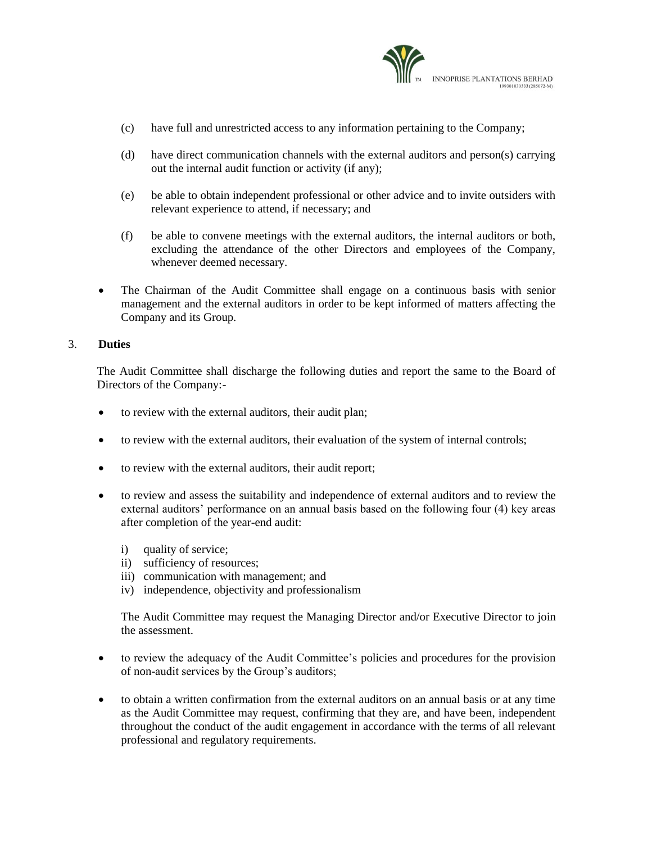

- (c) have full and unrestricted access to any information pertaining to the Company;
- (d) have direct communication channels with the external auditors and person(s) carrying out the internal audit function or activity (if any);
- (e) be able to obtain independent professional or other advice and to invite outsiders with relevant experience to attend, if necessary; and
- (f) be able to convene meetings with the external auditors, the internal auditors or both, excluding the attendance of the other Directors and employees of the Company, whenever deemed necessary.
- The Chairman of the Audit Committee shall engage on a continuous basis with senior management and the external auditors in order to be kept informed of matters affecting the Company and its Group.

#### 3. **Duties**

The Audit Committee shall discharge the following duties and report the same to the Board of Directors of the Company:-

- to review with the external auditors, their audit plan;
- to review with the external auditors, their evaluation of the system of internal controls;
- to review with the external auditors, their audit report;
- to review and assess the suitability and independence of external auditors and to review the external auditors' performance on an annual basis based on the following four (4) key areas after completion of the year-end audit:
	- i) quality of service;
	- ii) sufficiency of resources;
	- iii) communication with management; and
	- iv) independence, objectivity and professionalism

The Audit Committee may request the Managing Director and/or Executive Director to join the assessment.

- to review the adequacy of the Audit Committee's policies and procedures for the provision of non-audit services by the Group's auditors;
- to obtain a written confirmation from the external auditors on an annual basis or at any time as the Audit Committee may request, confirming that they are, and have been, independent throughout the conduct of the audit engagement in accordance with the terms of all relevant professional and regulatory requirements.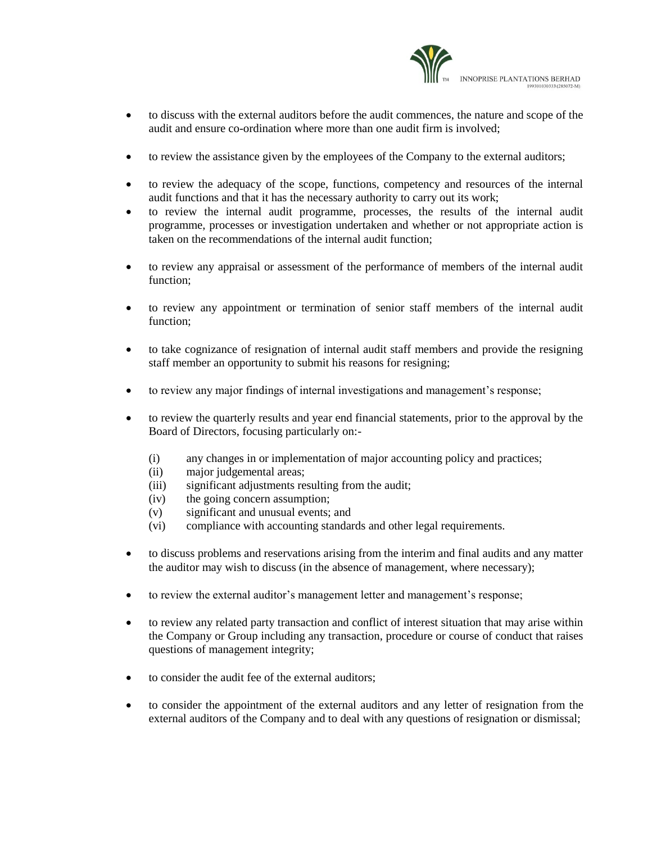

- to discuss with the external auditors before the audit commences, the nature and scope of the audit and ensure co-ordination where more than one audit firm is involved;
- to review the assistance given by the employees of the Company to the external auditors;
- to review the adequacy of the scope, functions, competency and resources of the internal audit functions and that it has the necessary authority to carry out its work;
- to review the internal audit programme, processes, the results of the internal audit programme, processes or investigation undertaken and whether or not appropriate action is taken on the recommendations of the internal audit function;
- to review any appraisal or assessment of the performance of members of the internal audit function;
- to review any appointment or termination of senior staff members of the internal audit function;
- to take cognizance of resignation of internal audit staff members and provide the resigning staff member an opportunity to submit his reasons for resigning;
- to review any major findings of internal investigations and management's response;
- to review the quarterly results and year end financial statements, prior to the approval by the Board of Directors, focusing particularly on:-
	- (i) any changes in or implementation of major accounting policy and practices;
	- (ii) major judgemental areas;
	- (iii) significant adjustments resulting from the audit;
	- (iv) the going concern assumption;
	- (v) significant and unusual events; and
	- (vi) compliance with accounting standards and other legal requirements.
- to discuss problems and reservations arising from the interim and final audits and any matter the auditor may wish to discuss (in the absence of management, where necessary);
- to review the external auditor's management letter and management's response;
- to review any related party transaction and conflict of interest situation that may arise within the Company or Group including any transaction, procedure or course of conduct that raises questions of management integrity;
- to consider the audit fee of the external auditors;
- to consider the appointment of the external auditors and any letter of resignation from the external auditors of the Company and to deal with any questions of resignation or dismissal;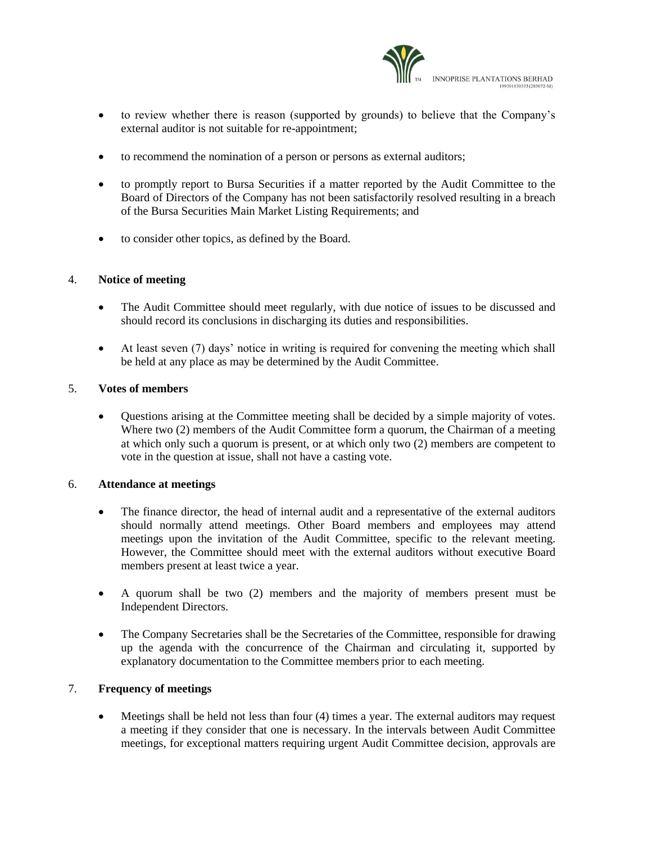

- to review whether there is reason (supported by grounds) to believe that the Company's external auditor is not suitable for re-appointment;
- to recommend the nomination of a person or persons as external auditors;
- to promptly report to Bursa Securities if a matter reported by the Audit Committee to the Board of Directors of the Company has not been satisfactorily resolved resulting in a breach of the Bursa Securities Main Market Listing Requirements; and
- to consider other topics, as defined by the Board.

#### 4. **Notice of meeting**

- The Audit Committee should meet regularly, with due notice of issues to be discussed and should record its conclusions in discharging its duties and responsibilities.
- At least seven (7) days' notice in writing is required for convening the meeting which shall be held at any place as may be determined by the Audit Committee.

#### 5. **Votes of members**

 Questions arising at the Committee meeting shall be decided by a simple majority of votes. Where two (2) members of the Audit Committee form a quorum, the Chairman of a meeting at which only such a quorum is present, or at which only two (2) members are competent to vote in the question at issue, shall not have a casting vote.

#### 6. **Attendance at meetings**

- The finance director, the head of internal audit and a representative of the external auditors should normally attend meetings. Other Board members and employees may attend meetings upon the invitation of the Audit Committee, specific to the relevant meeting. However, the Committee should meet with the external auditors without executive Board members present at least twice a year.
- A quorum shall be two (2) members and the majority of members present must be Independent Directors.
- The Company Secretaries shall be the Secretaries of the Committee, responsible for drawing up the agenda with the concurrence of the Chairman and circulating it, supported by explanatory documentation to the Committee members prior to each meeting.

## 7. **Frequency of meetings**

 Meetings shall be held not less than four (4) times a year. The external auditors may request a meeting if they consider that one is necessary. In the intervals between Audit Committee meetings, for exceptional matters requiring urgent Audit Committee decision, approvals are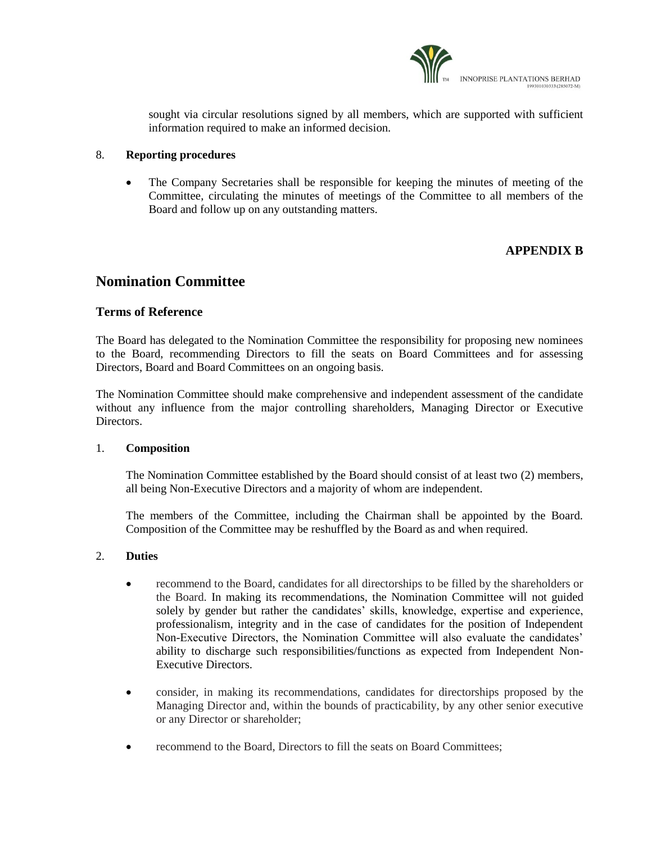

sought via circular resolutions signed by all members, which are supported with sufficient information required to make an informed decision.

#### 8. **Reporting procedures**

 The Company Secretaries shall be responsible for keeping the minutes of meeting of the Committee, circulating the minutes of meetings of the Committee to all members of the Board and follow up on any outstanding matters.

## **APPENDIX B**

# **Nomination Committee**

## **Terms of Reference**

The Board has delegated to the Nomination Committee the responsibility for proposing new nominees to the Board, recommending Directors to fill the seats on Board Committees and for assessing Directors, Board and Board Committees on an ongoing basis.

The Nomination Committee should make comprehensive and independent assessment of the candidate without any influence from the major controlling shareholders, Managing Director or Executive Directors.

#### 1. **Composition**

The Nomination Committee established by the Board should consist of at least two (2) members, all being Non-Executive Directors and a majority of whom are independent.

The members of the Committee, including the Chairman shall be appointed by the Board. Composition of the Committee may be reshuffled by the Board as and when required.

## 2. **Duties**

- recommend to the Board, candidates for all directorships to be filled by the shareholders or the Board. In making its recommendations, the Nomination Committee will not guided solely by gender but rather the candidates' skills, knowledge, expertise and experience, professionalism, integrity and in the case of candidates for the position of Independent Non-Executive Directors, the Nomination Committee will also evaluate the candidates' ability to discharge such responsibilities/functions as expected from Independent Non-Executive Directors.
- consider, in making its recommendations, candidates for directorships proposed by the Managing Director and, within the bounds of practicability, by any other senior executive or any Director or shareholder;
- recommend to the Board, Directors to fill the seats on Board Committees;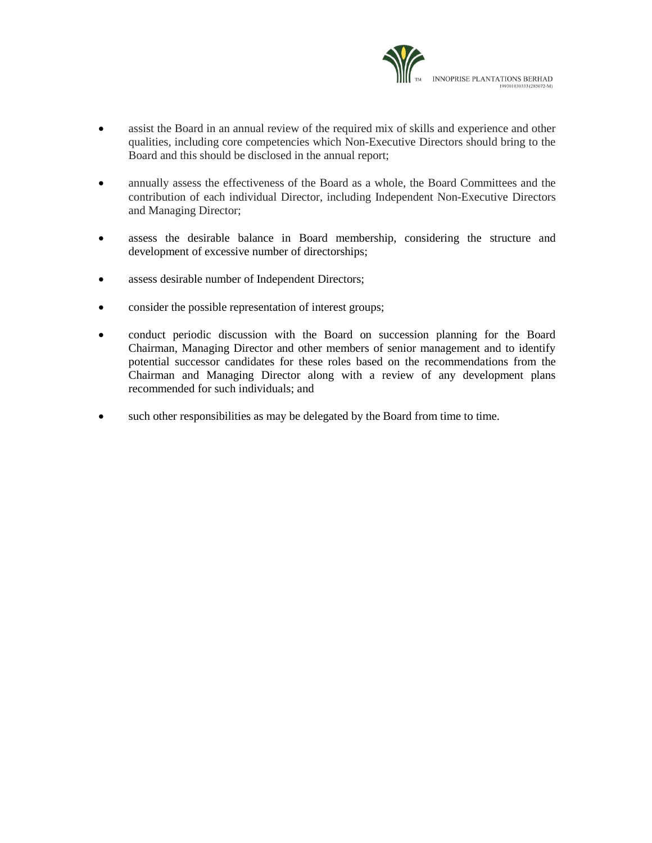

- assist the Board in an annual review of the required mix of skills and experience and other qualities, including core competencies which Non-Executive Directors should bring to the Board and this should be disclosed in the annual report;
- annually assess the effectiveness of the Board as a whole, the Board Committees and the contribution of each individual Director, including Independent Non-Executive Directors and Managing Director;
- assess the desirable balance in Board membership, considering the structure and development of excessive number of directorships;
- assess desirable number of Independent Directors;
- consider the possible representation of interest groups;
- conduct periodic discussion with the Board on succession planning for the Board Chairman, Managing Director and other members of senior management and to identify potential successor candidates for these roles based on the recommendations from the Chairman and Managing Director along with a review of any development plans recommended for such individuals; and
- such other responsibilities as may be delegated by the Board from time to time.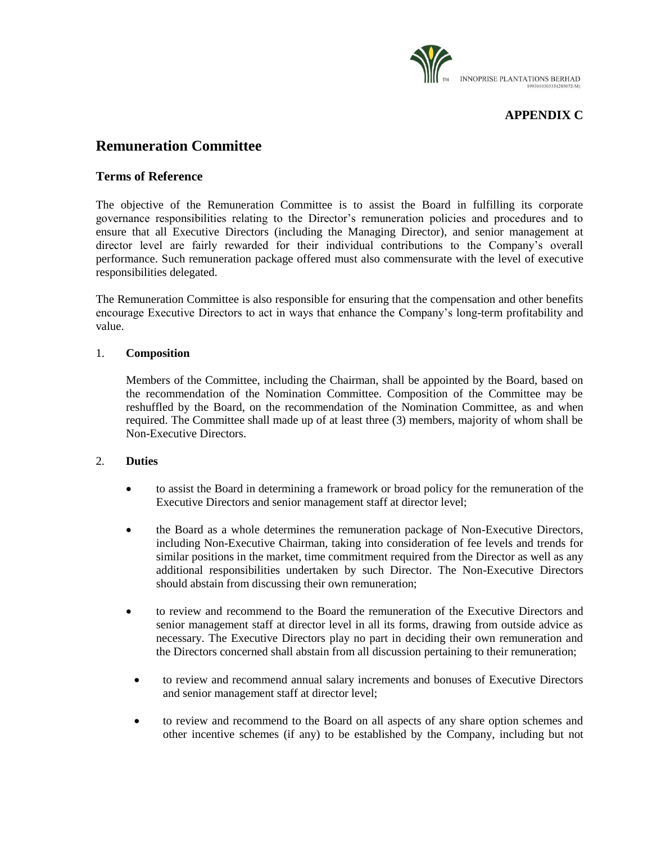

## **APPENDIX C**

# **Remuneration Committee**

## **Terms of Reference**

The objective of the Remuneration Committee is to assist the Board in fulfilling its corporate governance responsibilities relating to the Director's remuneration policies and procedures and to ensure that all Executive Directors (including the Managing Director), and senior management at director level are fairly rewarded for their individual contributions to the Company's overall performance. Such remuneration package offered must also commensurate with the level of executive responsibilities delegated.

The Remuneration Committee is also responsible for ensuring that the compensation and other benefits encourage Executive Directors to act in ways that enhance the Company's long-term profitability and value.

#### 1. **Composition**

Members of the Committee, including the Chairman, shall be appointed by the Board, based on the recommendation of the Nomination Committee. Composition of the Committee may be reshuffled by the Board, on the recommendation of the Nomination Committee, as and when required. The Committee shall made up of at least three (3) members, majority of whom shall be Non-Executive Directors.

#### 2. **Duties**

- to assist the Board in determining a framework or broad policy for the remuneration of the Executive Directors and senior management staff at director level;
- the Board as a whole determines the remuneration package of Non-Executive Directors, including Non-Executive Chairman, taking into consideration of fee levels and trends for similar positions in the market, time commitment required from the Director as well as any additional responsibilities undertaken by such Director. The Non-Executive Directors should abstain from discussing their own remuneration;
- to review and recommend to the Board the remuneration of the Executive Directors and senior management staff at director level in all its forms, drawing from outside advice as necessary. The Executive Directors play no part in deciding their own remuneration and the Directors concerned shall abstain from all discussion pertaining to their remuneration;
- to review and recommend annual salary increments and bonuses of Executive Directors and senior management staff at director level;
- to review and recommend to the Board on all aspects of any share option schemes and other incentive schemes (if any) to be established by the Company, including but not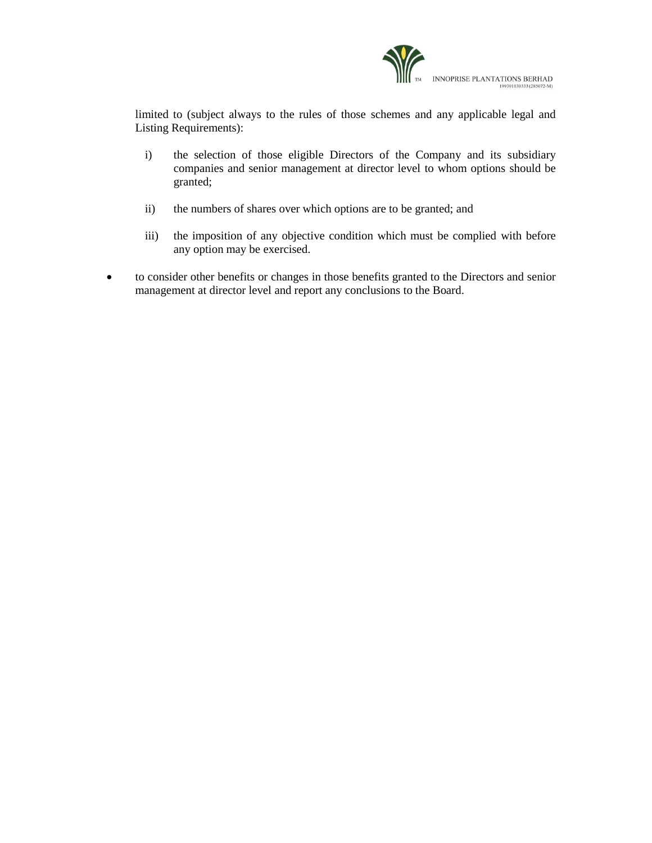

limited to (subject always to the rules of those schemes and any applicable legal and Listing Requirements):

- i) the selection of those eligible Directors of the Company and its subsidiary companies and senior management at director level to whom options should be granted;
- ii) the numbers of shares over which options are to be granted; and
- iii) the imposition of any objective condition which must be complied with before any option may be exercised.
- to consider other benefits or changes in those benefits granted to the Directors and senior management at director level and report any conclusions to the Board.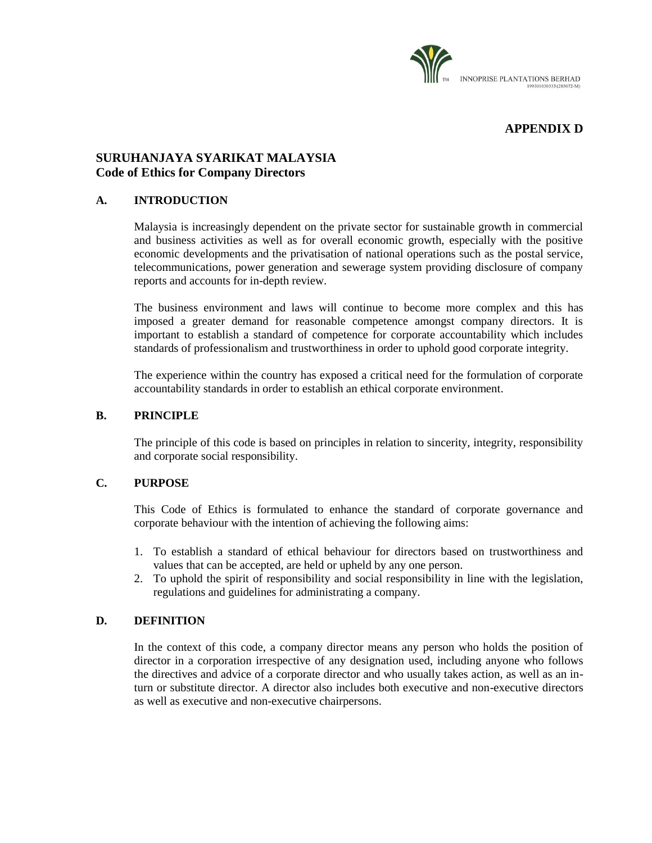

# **APPENDIX D**

## **SURUHANJAYA SYARIKAT MALAYSIA Code of Ethics for Company Directors**

## **A. INTRODUCTION**

Malaysia is increasingly dependent on the private sector for sustainable growth in commercial and business activities as well as for overall economic growth, especially with the positive economic developments and the privatisation of national operations such as the postal service, telecommunications, power generation and sewerage system providing disclosure of company reports and accounts for in-depth review.

The business environment and laws will continue to become more complex and this has imposed a greater demand for reasonable competence amongst company directors. It is important to establish a standard of competence for corporate accountability which includes standards of professionalism and trustworthiness in order to uphold good corporate integrity.

The experience within the country has exposed a critical need for the formulation of corporate accountability standards in order to establish an ethical corporate environment.

#### **B. PRINCIPLE**

The principle of this code is based on principles in relation to sincerity, integrity, responsibility and corporate social responsibility.

## **C. PURPOSE**

This Code of Ethics is formulated to enhance the standard of corporate governance and corporate behaviour with the intention of achieving the following aims:

- 1. To establish a standard of ethical behaviour for directors based on trustworthiness and values that can be accepted, are held or upheld by any one person.
- 2. To uphold the spirit of responsibility and social responsibility in line with the legislation, regulations and guidelines for administrating a company.

## **D. DEFINITION**

In the context of this code, a company director means any person who holds the position of director in a corporation irrespective of any designation used, including anyone who follows the directives and advice of a corporate director and who usually takes action, as well as an inturn or substitute director. A director also includes both executive and non-executive directors as well as executive and non-executive chairpersons.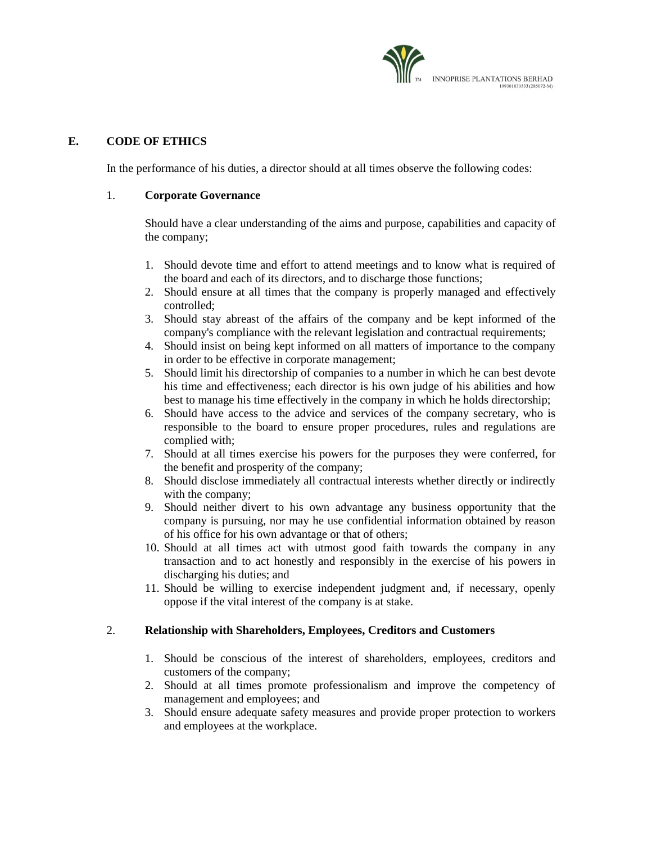

## **E. CODE OF ETHICS**

In the performance of his duties, a director should at all times observe the following codes:

### 1. **Corporate Governance**

Should have a clear understanding of the aims and purpose, capabilities and capacity of the company;

- 1. Should devote time and effort to attend meetings and to know what is required of the board and each of its directors, and to discharge those functions;
- 2. Should ensure at all times that the company is properly managed and effectively controlled;
- 3. Should stay abreast of the affairs of the company and be kept informed of the company's compliance with the relevant legislation and contractual requirements;
- 4. Should insist on being kept informed on all matters of importance to the company in order to be effective in corporate management;
- 5. Should limit his directorship of companies to a number in which he can best devote his time and effectiveness; each director is his own judge of his abilities and how best to manage his time effectively in the company in which he holds directorship;
- 6. Should have access to the advice and services of the company secretary, who is responsible to the board to ensure proper procedures, rules and regulations are complied with;
- 7. Should at all times exercise his powers for the purposes they were conferred, for the benefit and prosperity of the company;
- 8. Should disclose immediately all contractual interests whether directly or indirectly with the company;
- 9. Should neither divert to his own advantage any business opportunity that the company is pursuing, nor may he use confidential information obtained by reason of his office for his own advantage or that of others;
- 10. Should at all times act with utmost good faith towards the company in any transaction and to act honestly and responsibly in the exercise of his powers in discharging his duties; and
- 11. Should be willing to exercise independent judgment and, if necessary, openly oppose if the vital interest of the company is at stake.

## 2. **Relationship with Shareholders, Employees, Creditors and Customers**

- 1. Should be conscious of the interest of shareholders, employees, creditors and customers of the company;
- 2. Should at all times promote professionalism and improve the competency of management and employees; and
- 3. Should ensure adequate safety measures and provide proper protection to workers and employees at the workplace.